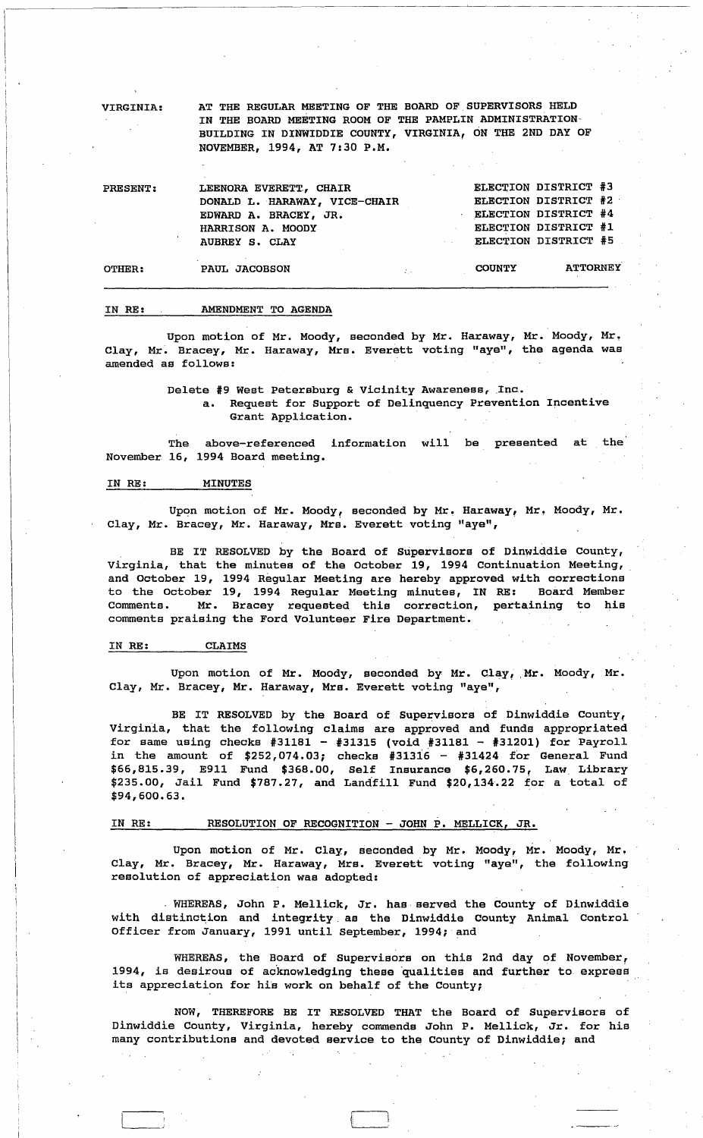VIRGINIA: AT THE REGULAR MEETING OF THE BOARD OF SUPERVISORS HELD IN THE BOARD MEETING ROOM OF THE PAMPLIN ADMINISTRATION-BUILDING IN DINWIDDIE COUNTY, VIRGINIA, ON THE 2ND DAY OF NOVEMBER, 1994, AT 7:30 P.M.

| OTHER:   | PAUL JACOBSON<br><b>COLL</b>  | <b>COUNTY</b>        | <b>ATTORNEY</b>             |  |
|----------|-------------------------------|----------------------|-----------------------------|--|
|          | <b>AUBREY S. CLAY</b>         |                      | ELECTION DISTRICT #5        |  |
|          | HARRISON A. MOODY             |                      | ELECTION DISTRICT #1        |  |
|          | EDWARD A. BRACEY, JR.         | ELECTION DISTRICT #4 |                             |  |
|          | DONALD L. HARAWAY, VICE-CHAIR |                      | ELECTION DISTRICT #2        |  |
| PRESENT: | LEENORA EVERETT, CHAIR        |                      | <b>ELECTION DISTRICT #3</b> |  |

#### IN RE: AMENDMENT TO AGENDA

Upon motion of Mr. Moody, seconded by Mr. Haraway, Mr. Moody, Mr. Clay, Mr. Bracey, Mr. Haraway, Mrs. Everett voting "aye", the agenda was amended as follows:

Delete #9 West Petersburg & Vicinity Awareness, Inc.

a. Request for Support of Delinquency Prevention Incentive Grant Application.

The above-referenced information will be presented at the November 16, 1994 Board meeting.

#### IN RE: MINUTES

Upon motion of Mr. Moody, seconded by Mr. Haraway, Mr. Moody, Mr. Clay, Mr. Bracey, Mr. Haraway, Mrs. Everett voting "aye",

BE IT RESOLVED by the Board of Supervisors of Dinwiddie County, Virginia, that the minutes of the October 19, 1994 continuation Meeting, and october 19, 1994 Regular Meeting are hereby approved with corrections to the October 19, 1994 Regular Meeting minutes, IN RE: Board Member Comments. Mr. Bracey requested this correction, pertaining to his comments praising the Ford Volunteer Fire Department.

#### IN RE: CLAIMS

Upon motion of Mr. Moody, seconded by Mr. Clay, Mr. Moody, Mr. Clay, Mr. Bracey, Mr. Haraway, Mrs. Everett voting "aye",

BE IT RESOLVED by the Board of Supervisors of Dinwiddie County, Virginia, that the following claims are approved and funds appropriated for same using checks #31181 - #31315 (void *131181* - 131201) for Payroll in the amount of \$252,074.03; checks #31316 - #31424 for General Fund \$66,815.39, E911 Fund \$368.00, Self Insurance \$6,260.75, Law Library \$235.00, Jail Fund \$787.27, and Landfill Fund \$20,134.22 for a total of \$94,600.63.

# IN RE: RESOLUTION OF RECOGNITION - JOHN P. MELLICK, JR.

Upon motion of Mr. Clay, seconded by Mr. Moody, Mr. Moody, Mr. Clay, Mr. Bracey, Mr. Haraway, Mrs. Everett voting "aye", the following resolution of appreciation was adopted:

. WHEREAS, John P. Mellick, Jr. has served the County of Dinwiddie with distinction and integrity as the Dinwiddie County Animal Control Officer from January, 1991 until September, 1994; and

WHEREAS, the Board of Supervisors on this 2nd day of November, 1994, is desirous of acknowledging these qualities and further to express its appreciation for his work on behalf of the County;

NOW, THEREFORE BE IT RESOLVED THAT the Board of Supervisors of Dinwiddie County, Virginia, hereby commends John P. Mellick, Jr. for his many contributions and devoted service to the county of Dinwiddie; and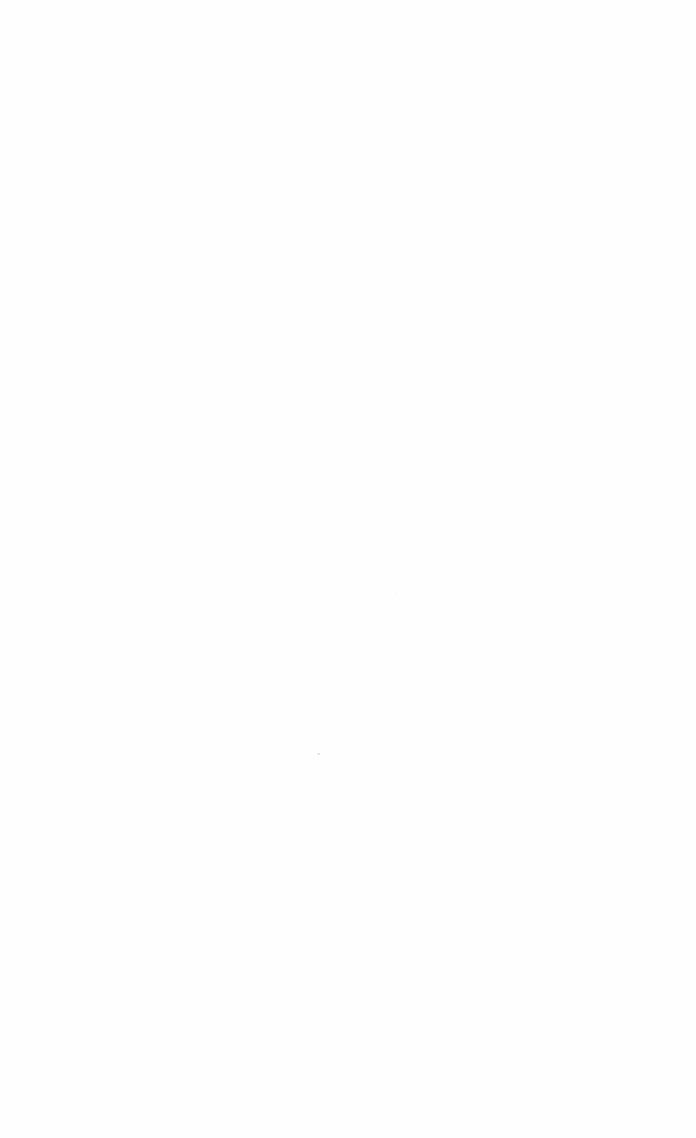$\label{eq:2.1} \frac{1}{\sqrt{2}}\int_{\mathbb{R}^3}\frac{1}{\sqrt{2}}\left(\frac{1}{\sqrt{2}}\right)^2\frac{1}{\sqrt{2}}\left(\frac{1}{\sqrt{2}}\right)^2\frac{1}{\sqrt{2}}\left(\frac{1}{\sqrt{2}}\right)^2\frac{1}{\sqrt{2}}\left(\frac{1}{\sqrt{2}}\right)^2.$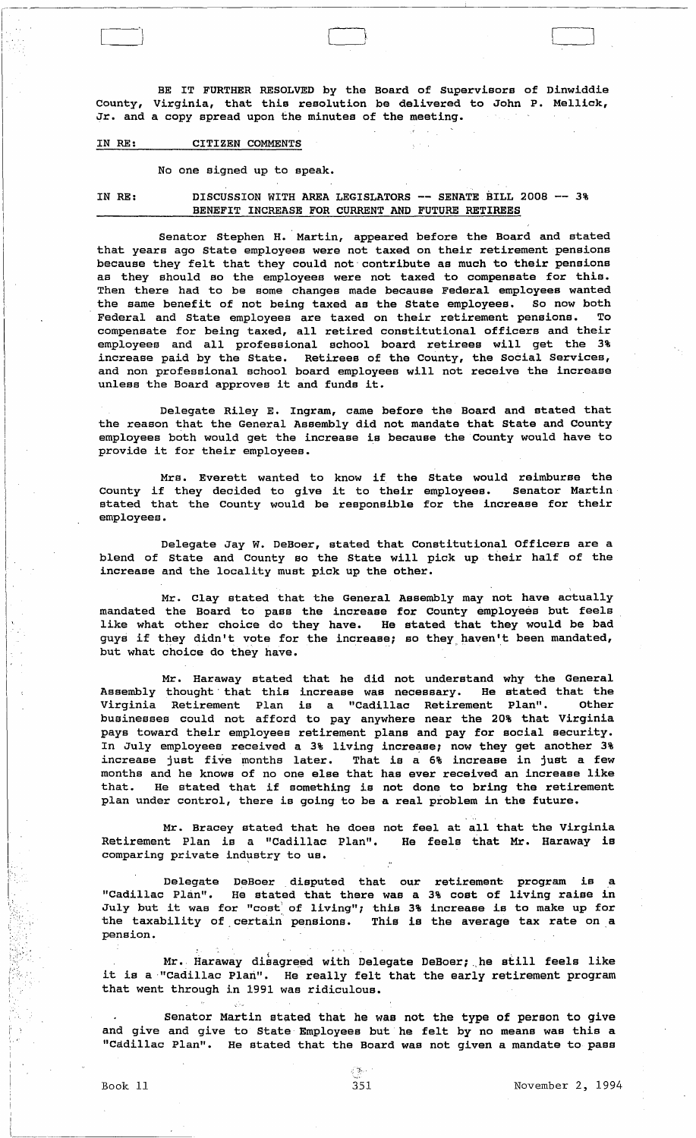BE IT FURTHER RESOLVED by the Board of Supervisors of Dinwiddie County, Virginia, that this resolution be delivered to John P. Mellick, Jr. and a copy spread upon the minutes of the meeting.

# IN RE: CITIZEN COMMENTS

No one signed up to speak.

IN RE: DISCUSSION WITH AREA LEGISLATORS -- SENATE BILL 2008 -- 3% BENEFIT INCREASE FOR CURRENT AND FUTURE RETIREES

Senator Stephen H. Martin, appeared before the Board and stated that years ago state employees were not taxed on their retirement pensions because they felt that they could not'contribute as much to their pensions as they should so the employees were not taxed to compensate for this. Then there had to be some changes made because Federal employees wanted the same benefit of not being taxed as the State employees. So now both<br>Federal and State employees are taxed on their retirement pensions. To Federal and State employees are taxed on their retirement pensions. compensate for being taxed, all retired constitutional officers and their employees and all professional school board retirees will get the 3% increase paid by the state. Retirees of the County, the Social Services, and non professional school board employees will not receive the increase unless the Board approves it and funds it.

Delegate Riley E. Ingram, came before the Board and stated that the reason that the General Assembly did not mandate that State and County employees both would get the increase is because the County would have to provide it for their employees.

Mrs. Everett wanted to know if the State would reimburse the County if they decided to give it to their employees. Senator Martin stated that the county would be responsible for the increase for their employees.

Delegate Jay W. DeBoer, stated that Constitutional Officers are a blend of state and County so the state will pick up their half of the increase and the locality must pick up the other.

Mr. Clay stated that the General Assembly may not have actually mandated the Board to pass the increase for county employees but feels like what other choice do they have. He stated that they would be bad guys if they didn't vote for the increase; so they haven't been mandated, but what choice do they have.

Mr. Haraway stated that he did not understand why the General Assembly thought' that this increase was necessary. He stated that the Virginia Retirement Plan is a "Cadillac Retirement Plan". Other businesses could not afford to pay anywhere near the 20% that Virginia pays toward their employees retirement plans and pay for social security. In July employees received a 3% living increase; now they get another 3% increase just five months later. That is a 6% increase in just a few months and he knows of no one else that has ever received an increase like that. He stated that if something is not done to bring the retirement plan under control, there is going to be a real problem in the future.

Mr. Bracey stated that he does not feel at all that the Virginia Retirement Plan is a "Cadillac Plan". comparing private industry to us. He feels that Mr. Haraway is

Delegate DeBoer disputed that our retirement program is a "Cadillac Plan". He stated that there was a 3% cost of living raise in Cadiffic fian . As stated that there was a the taxability of certain pensions. This is pension. increase is to make up for the average tax rate on a

Mr. Haraway disagreed with Delegate DeBoer; he still feels like it is a "Cadillac Plan". He really felt that the early retirement program that went through in 1991 was ridiculous.

senator Martin stated that he was not the type of person to give and give and give to State Employees but he felt by no means was this a "Cadillac Plan". He stated that the Board was not given a mandate to pass

I'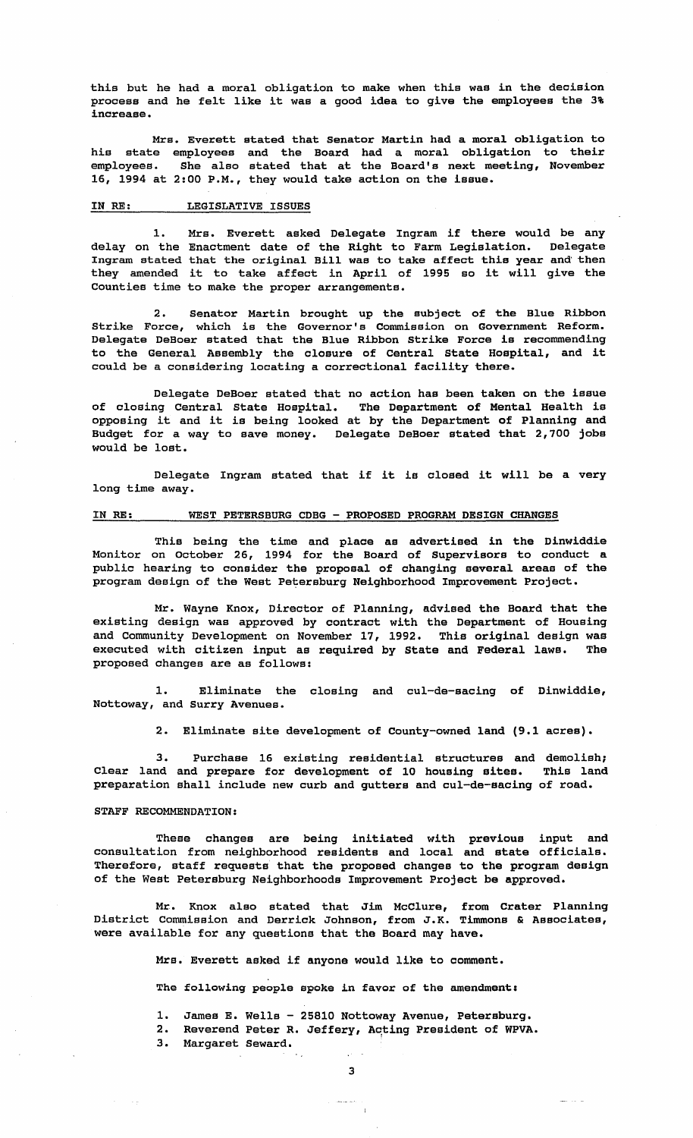this but he had a moral obligation to make when this was in the decision process and he felt like it was a good idea to give the employees the 3% increase.

Mrs. Everett stated that Senator Martin had a moral obligation to his state employees and the Board had a moral obligation to their employees. She also stated that at the Board's next meeting, November 16, 1994 at 2:00 P.M., they would take action on the issue.

## IN RE: LEGISLATIVE ISSUES

1. Mrs. Everett asked Delegate Ingram if there would be any delay on the Enactment date of the Right to Farm Legislation. Delegate Ingram stated that the original Bill was to take affect this year and' then they amended it to take affect in April of 1995 so it will give the Counties time to make the proper arrangements.

2. Senator Martin brought up the subject of the Blue Ribbon Strike Force, which is the Governor's Commission on Government Reform. Delegate DeBoer stated that the Blue Ribbon Strike Force is recommending to the General Assembly the closure of Central State Hospital, and it could be a considering locating a correctional facility there.

Delegate DeBoer stated that no action has been taken on the issue of closing Central State Hospital. The Department of Mental Health is opposing it and it is being looked at by the Department of Planning and Budget for a way to save money. Delegate DeBoer stated that 2,700 jobs would be lost.

Delegate Ingram stated that if it is closed it will be a very long time away.

## IN RE: WEST PETERSBURG CDBG - PROPOSED PROGRAM DESIGN CHANGES

This being the time and place as advertised in the Dinwiddie Monitor on October 26, 1994 for the Board of Supervisors to conduct a public hearing to consider the proposal of changing several areas of the program design of the West Petersburg Neighborhood Improvement Project.

Mr. Wayne Knox, Director of Planning, advised the Board that the existing design was approved by contract with the Department of Housing and Community Development on November 17, 1992. This original design was executed with citizen input as required by state and Federal laws. The proposed changes are as follows:

1. Eliminate the closing and cul-de-sacing of Dinwiddie, Nottoway, and Surry Avenues.

2. Eliminate site development of County-owned land (9.1 acres).

3. Purchase 16 existing residential structures and demolish; Clear land and prepare for development of 10 housing sites. This land preparation shall include new curb and gutters and cul-de-sacing of road.

#### STAFF RECOMMENDATION:

 $\sim$   $\sim$ 

These changes are being initiated with previous input and consultation from neighborhood residents and local and state officials. Therefore, staff requests that the proposed changes to the program design of the West Petersburg Neighborhoods Improvement Project be approved.

Mr. Knox also stated that Jim McClure, from Crater Planning District Commission and Derrick Johnson, from J .K. Timmons & Associates, were available for any questions that the Board may have.

Mrs. Everett asked if anyone would like to comment.

The following people spoke in favor of the amendment;

1. James E. Wells - 25810 Nottoway Avenue, Petersburg.

2. Reverend Peter R. Jeffery, Acting President of WPVA.

3. Margaret Seward.

 $\begin{aligned} \mathbb{R}^{(1)} \xrightarrow{\text{argmax}} \mathbb{R}^{(1)} \xrightarrow{\text{argmax}} \mathbb{R}^{(1)} \xrightarrow{\text{argmax}} \mathbb{R}^{(1)} \xrightarrow{\text{argmax}} \mathbb{R}^{(1)} \xrightarrow{\text{argmax}} \mathbb{R}^{(1)} \xrightarrow{\text{argmax}} \mathbb{R}^{(1)} \xrightarrow{\text{argmax}} \mathbb{R}^{(1)} \xrightarrow{\text{argmax}} \mathbb{R}^{(1)} \xrightarrow{\text{argmax}} \mathbb{R}^{(1)} \xrightarrow{\text{argmax}} \mathbb{R}^{(1)} \xrightarrow{\text{argmax}} \mathbb{R}$ 

لأرابط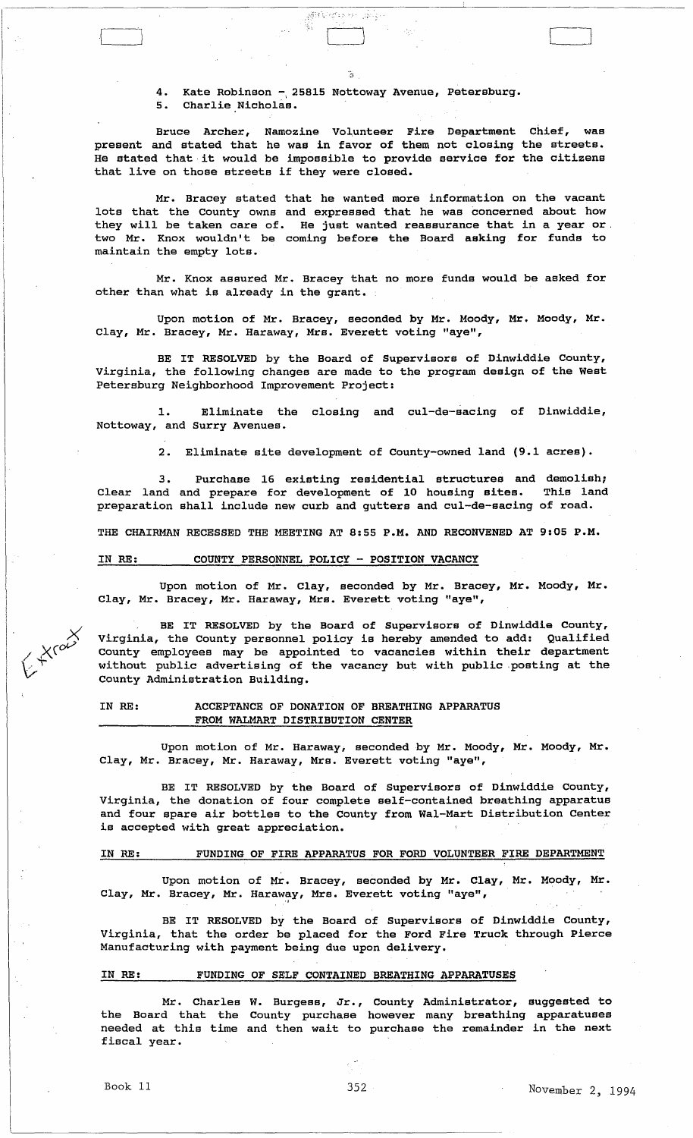4. Kate Robinson - 25815 Nottoway Avenue, Petersburg.<br>5. Charlie Nicholas.

潮水学(http://go.go

Charlie Nicholas.

 $\overline{\phantom{a}}$  ) and  $\overline{\phantom{a}}$  ) and  $\overline{\phantom{a}}$  (  $\overline{\phantom{a}}$  ) and  $\overline{\phantom{a}}$  (  $\overline{\phantom{a}}$  ) and  $\overline{\phantom{a}}$  (  $\overline{\phantom{a}}$  ) and  $\overline{\phantom{a}}$  (  $\overline{\phantom{a}}$  ) and  $\overline{\phantom{a}}$  (  $\overline{\phantom{a}}$  ) and  $\overline{\phantom{a}}$  (  $\overline{\phantom{a}}$ 

Bruce Archer, Namozine Volunteer Fire Department present and stated that he was in favor of them not closing He stated that it would be impossible to provide service for the citizens that live on those streets if they were closed. Chief, was the streets.

Mr. Bracey stated that he wanted more information on the vacant lots that the County owns and expressed that he was concerned about how they will be taken care of. He just wanted reassurance that in a year or. two Mr. Knox wouldn't be coming before the Board asking for funds to maintain the empty lots.

Mr. Knox assured Mr. Bracey that no more funds would be asked for other than what is already in the grant.

Upon motion of Mr. Bracey, seconded by Mr. Moody, Mr. Moody, Mr. Clay, Mr. Bracey, Mr. Haraway, Mrs. Everett voting "aye",

BE IT RESOLVED by the Board of Supervisors of Dinwiddie County, Virginia, the following changes are made to the program design of the west Petersburg Neighborhood Improvement Project:

1. Eliminate the closing and cul-de-sacing of Dinwiddie, Nottoway, and Surry Avenues.

2. Eliminate site development of County-owned land (9.1 acres).

3. Purchase 16 existing residential structures and demolish; Clear land and prepare for development of 10 housing sites. This land preparation shall include new curb and gutters and cul-de-sacing of road.

THE CHAIRMAN RECESSED THE MEETING AT 8:55 P.M. AND RECONVENED AT 9:05 P.M.

## IN RE: COUNTY PERSONNEL POLICY - POSITION VACANCY

Upon motion of Mr. Clay, seconded by Mr. Bracey, Mr. Moody, Mr. Clay, Mr. Bracey, Mr. Haraway, Mrs. Everett voting "aye",

BE IT RESOLVED by the Board of Supervisors of Dinwiddie county, Virginia, the County personnel policy is hereby amended to add: Qualified County employees may be appointed to vacancies within their department without public advertising of the vacancy but with public .posting at the County Administration Building.

IN RE: ACCEPTANCE OF DONATION OF BREATHING APPARATUS FROM WALMART DISTRIBUTION CENTER

Upon motion of Mr. Haraway; seconded by Mr. Moody, Mr. Moody, Mr. Clay, Mr. Bracey, Mr. Haraway, Mrs. Everett voting "aye",

BE IT RESOLVED by the Board of Supervisors of Dinwiddie County, Virginia, the donation of four complete self-contained breathing apparatus and four spare air bottles to the County from Wal-Mart Distribution Center is accepted with great appreciation.

# IN RE: FUNDING OF FIRE APPARATUS FOR FORD VOLUNTEER FIRE DEPARTMENT

Upon motion of Mr. Bracey, seconded by Mr. Clay, Mr. Moody, Mr. Clay, Mr. Bracey, Mr. Haraway, Mrs. Everett voting "aye",

BE IT RESOLVED by the Board of Supervisors of Dinwiddie county, Virginia, that the order be placed for the Ford Fire Truck through Pierce Manufacturing with payment being due upon delivery.

# IN RE: FUNDING OF SELF CONTAINED BREATHING APPARATUSES

 $\frac{1}{2}$  ,  $\frac{1}{2}$  ,  $\frac{1}{2}$  ,  $\frac{1}{2}$  ,  $\frac{1}{2}$  ,  $\frac{1}{2}$  ,  $\frac{1}{2}$  ,  $\frac{1}{2}$  ,  $\frac{1}{2}$  ,  $\frac{1}{2}$  ,  $\frac{1}{2}$  ,  $\frac{1}{2}$  ,  $\frac{1}{2}$  ,  $\frac{1}{2}$  ,  $\frac{1}{2}$  ,  $\frac{1}{2}$  ,  $\frac{1}{2}$  ,  $\frac{1}{2}$  ,  $\frac{1$ 

Mr. Charles W. Burgess, Jr., County Administrator, suggested to the Board that the County purchase however many breathing apparatuses needed at this time and then wait to purchase the remainder in the next fiscal year.

έň,

Book 11

E Kracy

L\_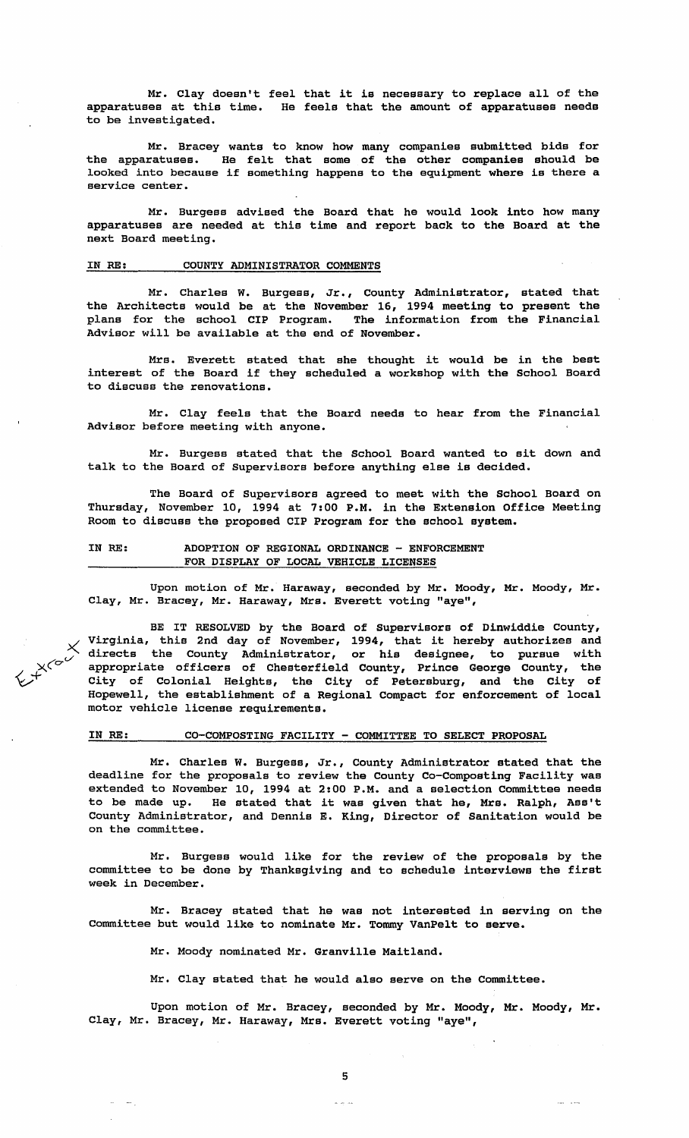Mr. Clay doesn't feel that it is necessary to replace all of the apparatuses at this time. He feels that the amount of apparatuses needs to be investigated.

Mr. Bracey wants to know how many companies submitted bids for the apparatuses. He felt that some of the other companies should be 100ked into because if something happens to the equipment where is there a service center.

Mr. Burgess advised the Board that he would look into how many apparatuses are needed at this time and report back to the Board at the next Board meeting.

#### IN RE: COUNTY ADMINISTRATOR COMMENTS

Mr. Charles W. Burgess, Jr., County Administrator, stated that the Architects would be at the November 16, 1994 meeting to present the plans for the school CIP Program. The information from the Financial Advisor will be available at the end of November.

Mrs. Everett stated that she thought it would be in the best interest of the Board if they scheduled a workshop with the School Board to discuss the renovations.

Mr. Clay feels that the Board needs to hear from the Financial Advisor before meeting with anyone.

Mr. Burgess stated that the School Board wanted to sit down and talk to the Board of Supervisors before anything else is decided.

The Board of Supervisors agreed to meet with the School Board on Thursday, November 10, 1994 at 7:00 P.M. in the Extension Office Meeting Room to discuss the proposed CIP Program for the school system.

## IN RE: ADOPTION OF REGIONAL ORDINANCE - ENFORCEMENT FOR DISPLAY OF LOCAL VEHICLE LICENSES

Upon motion of Mr. Haraway, seconded by Mr. Moody, Mr. Moody, Mr. Clay, Mr. Bracey, Mr. Haraway, Mrs. Everett voting "aye",

BE IT RESOLVED by the Board of Supervisors of Dinwiddie County, Virginia, this 2nd day of November, 1994, that it hereby authorizes and directs the County Administrator, or his designee, to pursue with appropriate officers of Chesterfield County, Prince George County, the City of Colonial Heights, the City of Petersburg, and the city of Hopewell, the establishment of a Regional Compact for enforcement of local motor vehicle license requirements.

# IN RE: CO-COMPOSTING FACILITY - COMMITTEE TO SELECT PROPOSAL

Mr. Charles W. Burgess, Jr., County Administrator stated that the deadline for the proposals to review the County Co-Composting Facility was extended to November 10, 1994 at 2:00 P.M. and a selection Committee needs to be made up. He stated that it was given that he, Mrs. Ralph, Ass't County Administrator, and Dennis E. King, Director of Sanitation would be on the committee.

Mr. Burgess would like for the review of the proposals by the committee to be done by Thanksgiving and to schedule interviews the first week in December.

Mr. Bracey stated that he was not interested in serving on the Committee but would like to nominate Mr. Tommy VanPelt to serve.

Mr. Moody nominated Mr. Granville Maitland.

Mr. Clay stated that he would also serve on the Committee.

Upon motion of Mr. Bracey, seconded by Mr. Moody, Mr. Moody, Mr. Clay, Mr. Bracey, Mr. Haraway, Mrs. Everett voting "aye",

 $\times$ *x(ov'*   $\leftarrow$ 

للدائب للأ

 $\overline{1}_{\rm{max}}$  ,  $\overline{1}_{\rm{max}}$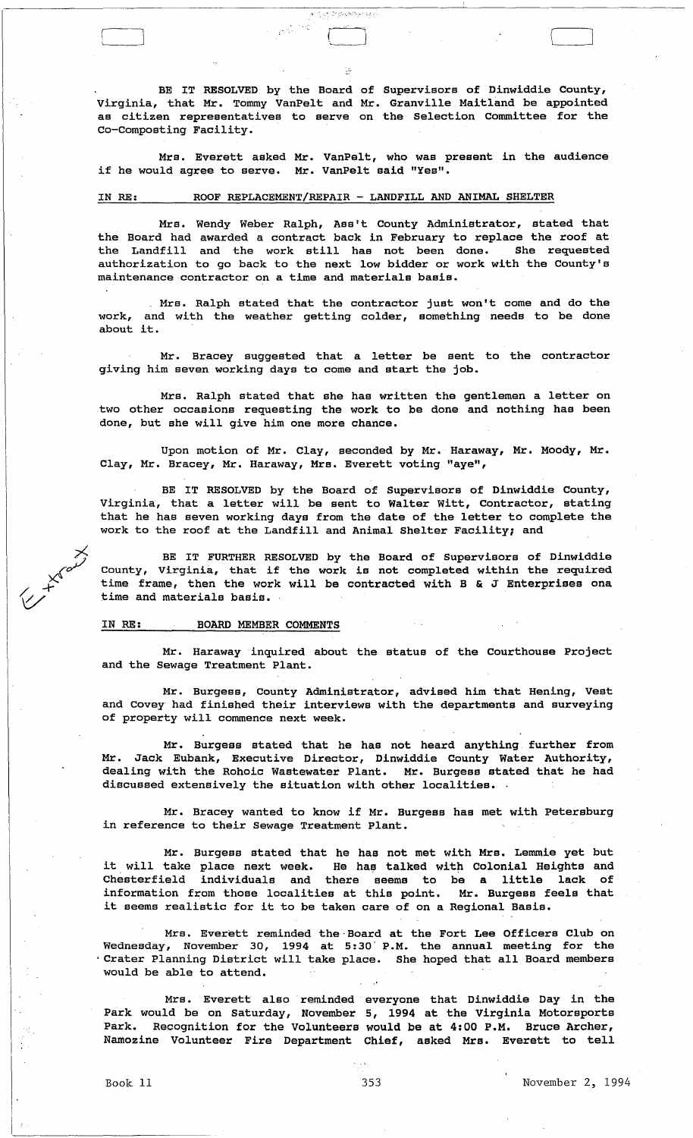BE IT RESOLVED by the Board of Supervisors of Dinwiddie County, Virginia, that Mr. Tommy VanPelt and Mr. Granville Maitland be appointed as citizen representatives to serve on the Selection Committee for the Co-Composting Facility.

 $\sim$  ,  $\sim$   $\sim$   $\sim$   $\sim$   $\sim$   $\sim$   $\sim$ 

Mrs. Everett asked Mr. VanPelt, who was present in the audience if he would agree to serve. Mr. VanPelt said "Yes".

### IN RE: ROOF REPLACEMENT/REPAIR - LANDFILL AND ANIMAL SHELTER

Mrs. Wendy Weber Ralph, Ass't County Administrator, stated that the Board had awarded a contract back in February to replace the roof at the Landfill and the work still has not been done. She requested authorization to go back to the next low bidder or work with the County's maintenance contractor on a time and materials basis.

work, and with the weather getting colder, something needs to be done about it. Mrs. Ralph stated that the contractor just won't come and do the

Mr. Bracey suggested that a letter be sent to the contractor giving him seven working days to come and start the job.

Mrs. Ralph stated that she has written the gentlemen a letter on two other occasions requesting the work to be done and nothing has been done, but she will give him one more chance.

Upon motion of Mr. Clay, seconded by Mr. Haraway, Mr. Moody, Mr. Clay, Mr. Bracey, Mr. Haraway, Mrs. Everett voting "aye",

BE IT RESOLVED by the Board of Supervisors of Dinwiddie County, Virginia, that a letter will be sent to Walter Witt, Contractor, stating that he has seven working days from the date of the letter to complete the work to the roof at the Landfill and Animal Shelter Facility; and

BE IT FURTHER RESOLVED by the Board of Supervisors of Dinwiddie County, Virginia, that if the work is not completed within the required time frame, then the work will be contracted with B & J Enterprises ona time and materials basis.

#### IN RE: BOARD MEMBER COMMENTS

Mr. Haraway inquired about the status of the Courthouse Project and the Sewage Treatment Plant.

Mr. Burgess, County Administrator, advised him that Hening, Vest and Covey had finished their interviews with the departments and surveying of property will commence next week.

Mr. Burgess stated that he has not heard anything further from Mr. Jack Eubank, Executive Director, Dinwiddie County Water Authority, dealing with the Rohoic Wastewater Plant. Mr. Burgess stated that he had discussed extensively the situation with other localities. .

Mr. Bracey wanted to know if Mr. Burgess has met with petersburg in reference to their Sewage Treatment Plant.

Mr. Burgess stated that he has not met with Mrs. Lemmie yet but it will take place next week. He has talked with Colonial Heights and Chesterfield individuals and there seems to be a little lack of information from those localities at this point. Mr. Burgess feels that it seems realistic for it to be taken care of on a Regional Basis.

Mrs. Everett reminded the·Board at the Fort Lee Officers Club on Wednesday, November 30, 1994 at 5:30' P.M. the annual meeting for the . Crater Planning District will take place. She hoped that all Board members would be able to attend.

Mrs. Everett also reminded everyone that Dinwiddie Day in the Park would be on saturday, November 5, 1994 at the Virginia Motorsports Park. Recognition for the Volunteers would be at 4:00 P.M. Bruce Archer, Namozine Volunteer Fire Department Chief, asked Mrs. Everett to tell

 $\mathbb{R}^n$ 

Hours